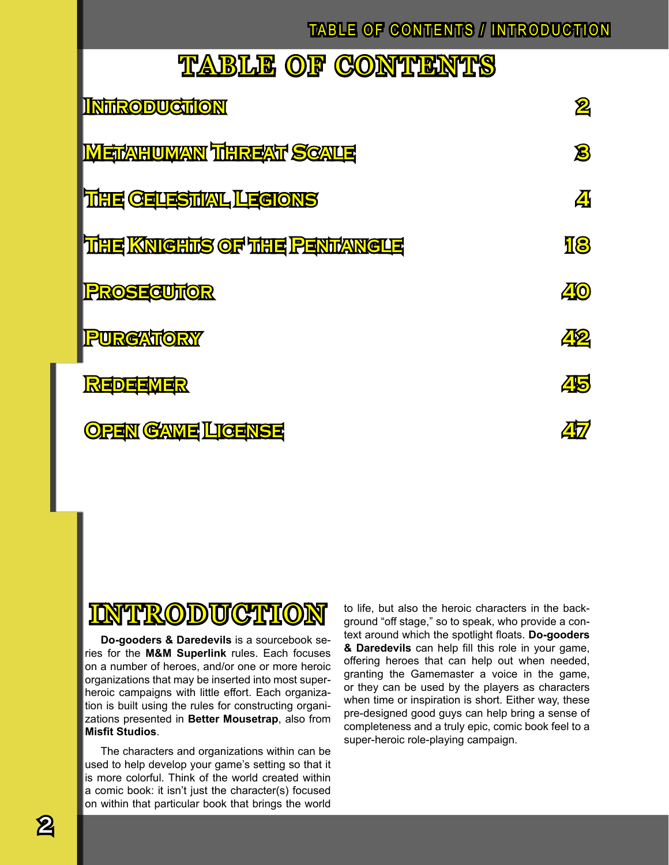### TABLE OF CONTENTS / INTRODUCTION

## TABLE OF CONTENTS

| <b>INTRODUCTION</b>                 | $\bf{\mathbf{\mathbf{2}}}$ |
|-------------------------------------|----------------------------|
| <b>METANHUMANN THHREAT SCALE</b>    | $\boldsymbol{\mathcal{B}}$ |
| <b>THE CEUESTIAL LEGIONS</b>        | <u>Д</u>                   |
| <b>THE KNIGHTS OF THE PENTANGLE</b> | <b>18</b>                  |
| <b>PROSECUTOR</b>                   | <b>40</b>                  |
| <b>PURGATORY</b>                    | <u>Др</u>                  |
| REDEEMER                            | 45                         |
| <b>OPEN GAME LIGENSE</b>            |                            |

### **INTRODUCTION**

**Do-gooders & Daredevils** is a sourcebook series for the **M&M Superlink** rules. Each focuses on a number of heroes, and/or one or more heroic organizations that may be inserted into most superheroic campaigns with little effort. Each organization is built using the rules for constructing organizations presented in **Better Mousetrap**, also from **Misfit Studios**.

The characters and organizations within can be used to help develop your game's setting so that it is more colorful. Think of the world created within a comic book: it isn't just the character(s) focused on within that particular book that brings the world to life, but also the heroic characters in the background "off stage," so to speak, who provide a context around which the spotlight floats. **Do-gooders & Daredevils** can help fill this role in your game, offering heroes that can help out when needed, granting the Gamemaster a voice in the game, or they can be used by the players as characters when time or inspiration is short. Either way, these pre-designed good guys can help bring a sense of completeness and a truly epic, comic book feel to a super-heroic role-playing campaign.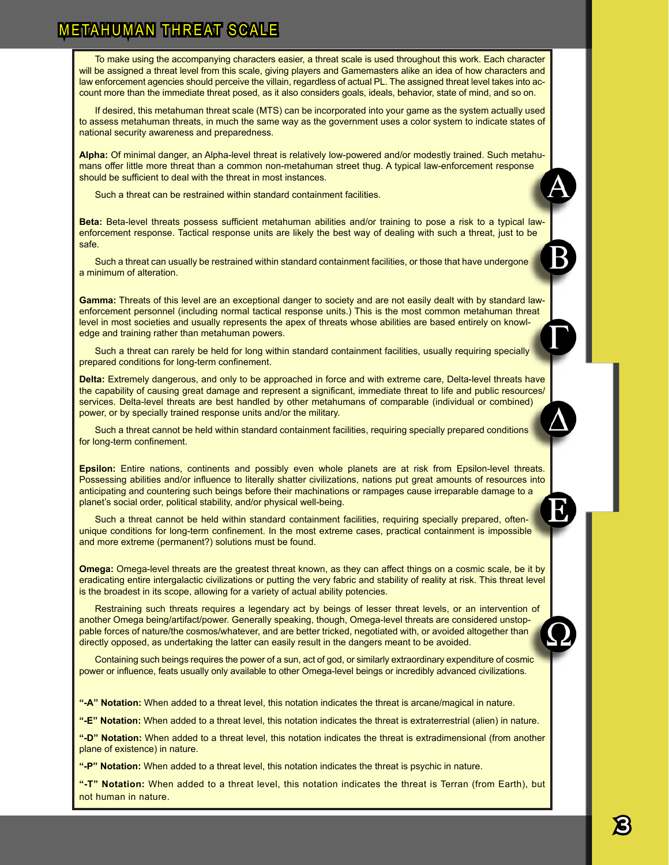#### **METAHUMAN THREAT SCALE**

To make using the accompanying characters easier, a threat scale is used throughout this work. Each character will be assigned a threat level from this scale, giving players and Gamemasters alike an idea of how characters and law enforcement agencies should perceive the villain, regardless of actual PL. The assigned threat level takes into account more than the immediate threat posed, as it also considers goals, ideals, behavior, state of mind, and so on.

If desired, this metahuman threat scale (MTS) can be incorporated into your game as the system actually used to assess metahuman threats, in much the same way as the government uses a color system to indicate states of national security awareness and preparedness.

**Alpha:** Of minimal danger, an Alpha-level threat is relatively low-powered and/or modestly trained. Such metahumans offer little more threat than a common non-metahuman street thug. A typical law-enforcement response should be sufficient to deal with the threat in most instances.

Such a threat can be restrained within standard containment facilities.

**Beta:** Beta-level threats possess sufficient metahuman abilities and/or training to pose a risk to a typical lawenforcement response. Tactical response units are likely the best way of dealing with such a threat, just to be safe.

Such a threat can usually be restrained within standard containment facilities, or those that have undergone a minimum of alteration.

**Gamma:** Threats of this level are an exceptional danger to society and are not easily dealt with by standard lawenforcement personnel (including normal tactical response units.) This is the most common metahuman threat level in most societies and usually represents the apex of threats whose abilities are based entirely on knowledge and training rather than metahuman powers.

Such a threat can rarely be held for long within standard containment facilities, usually requiring specially prepared conditions for long-term confinement.

**Delta:** Extremely dangerous, and only to be approached in force and with extreme care, Delta-level threats have the capability of causing great damage and represent a significant, immediate threat to life and public resources/ services. Delta-level threats are best handled by other metahumans of comparable (individual or combined) power, or by specially trained response units and/or the military.

Such a threat cannot be held within standard containment facilities, requiring specially prepared conditions for long-term confinement.

**Epsilon:** Entire nations, continents and possibly even whole planets are at risk from Epsilon-level threats. Possessing abilities and/or influence to literally shatter civilizations, nations put great amounts of resources into anticipating and countering such beings before their machinations or rampages cause irreparable damage to a planet's social order, political stability, and/or physical well-being.

Such a threat cannot be held within standard containment facilities, requiring specially prepared, oftenunique conditions for long-term confinement. In the most extreme cases, practical containment is impossible and more extreme (permanent?) solutions must be found.

**Omega:** Omega-level threats are the greatest threat known, as they can affect things on a cosmic scale, be it by eradicating entire intergalactic civilizations or putting the very fabric and stability of reality at risk. This threat level is the broadest in its scope, allowing for a variety of actual ability potencies.

Restraining such threats requires a legendary act by beings of lesser threat levels, or an intervention of another Omega being/artifact/power. Generally speaking, though, Omega-level threats are considered unstoppable forces of nature/the cosmos/whatever, and are better tricked, negotiated with, or avoided altogether than directly opposed, as undertaking the latter can easily result in the dangers meant to be avoided.

Containing such beings requires the power of a sun, act of god, or similarly extraordinary expenditure of cosmic power or influence, feats usually only available to other Omega-level beings or incredibly advanced civilizations.

**"-A" Notation:** When added to a threat level, this notation indicates the threat is arcane/magical in nature.

**"-E" Notation:** When added to a threat level, this notation indicates the threat is extraterrestrial (alien) in nature.

**"-D" Notation:** When added to a threat level, this notation indicates the threat is extradimensional (from another plane of existence) in nature.

**"-P" Notation:** When added to a threat level, this notation indicates the threat is psychic in nature.

**"-T" Notation:** When added to a threat level, this notation indicates the threat is Terran (from Earth), but not human in nature.